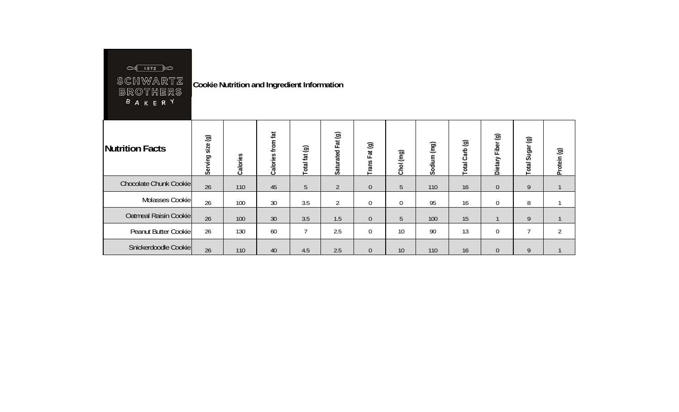$\boxed{\bigcirc \bigcirc \boxed{\underline{1973}} \bigcirc}$ 

SCHWARTZ<br>BROTHERS<br><sup>b</sup> a k e r <sup>y</sup> **Cookie Nutrition and Ingredient Information** 

| <b>Nutrition Facts</b> | $\circledcirc$<br>size<br>Serving | Calories | from fat<br>Calories | $\circledcirc$<br>Total fat | $\circledcirc$<br>Saturated Fat | Fat (g)<br>Trans | Chol (mg) | Sodium (mg) | ම<br>Carb<br><b>Total</b> | $\circledcirc$<br>Fiber<br>Dietary | ම<br>Sugar<br>Total | Protein (g)    |
|------------------------|-----------------------------------|----------|----------------------|-----------------------------|---------------------------------|------------------|-----------|-------------|---------------------------|------------------------------------|---------------------|----------------|
| Chocolate Chunk Cookie | 26                                | 110      | 45                   | 5                           | $\overline{2}$                  | $\boldsymbol{0}$ | 5         | 110         | 16                        | $\overline{0}$                     | 9                   |                |
| Molasses Cookie        | 26                                | 100      | 30                   | 3.5                         | $\overline{2}$                  | 0                | $\Omega$  | 95          | 16                        | $\theta$                           | 8                   |                |
| Oatmeal Raisin Cookie  | 26                                | 100      | 30                   | 3.5                         | 1.5                             | $\boldsymbol{0}$ | 5         | 100         | 15                        |                                    | 9                   |                |
| Peanut Butter Cookie   | 26                                | 130      | 60                   | $\overline{\phantom{0}}$    | 2.5                             | $\mathbf 0$      | 10        | 90          | 13                        | $\Omega$                           |                     | $\overline{2}$ |
| Snickerdoodle Cookie   | 26                                | 110      | 40                   | 4.5                         | 2.5                             | $\theta$         | 10        | 110         | 16                        | $\theta$                           | 9                   |                |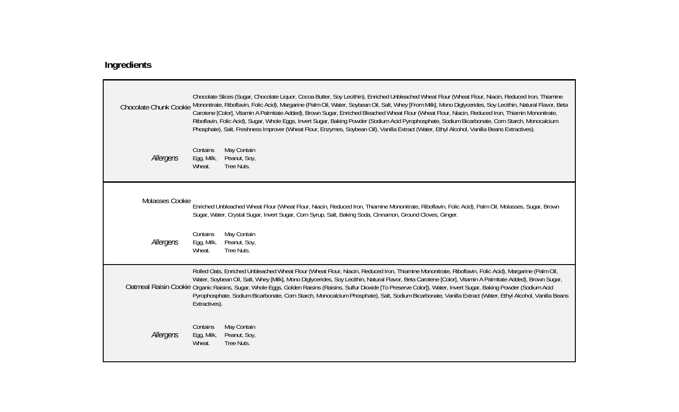## **Ingredients**

|                 | Chocolate Slices (Sugar, Chocolate Liquor, Cocoa Butter, Soy Lecithin), Enriched Unbleached Wheat Flour (Wheat Flour, Niacin, Reduced Iron, Thiamine<br>Chocolate Chunk Cookie Mononitrate, Riboflavin, Folic Acid), Margarine (Palm Oil, Water, Soybean Oil, Salt, Whey [From Milk], Mono Diglycerides, Soy Lecithin, Natural Flavor, Beta<br>Carotene [Color], Vitamin A Palmitate Added), Brown Sugar, Enriched Bleached Wheat Flour (Wheat Flour, Niacin, Reduced Iron, Thiamin Mononitrate,<br>Riboflavin, Folic Acid), Sugar, Whole Eggs, Invert Sugar, Baking Powder (Sodium Acid Pyrophosphate, Sodium Bicarbonate, Corn Starch, Monocalcium<br>Phosphate), Salt, Freshness Improver (Wheat Flour, Enzymes, Soybean Oil), Vanilla Extract (Water, Ethyl Alcohol, Vanilla Beans Extractives). |  |  |  |
|-----------------|------------------------------------------------------------------------------------------------------------------------------------------------------------------------------------------------------------------------------------------------------------------------------------------------------------------------------------------------------------------------------------------------------------------------------------------------------------------------------------------------------------------------------------------------------------------------------------------------------------------------------------------------------------------------------------------------------------------------------------------------------------------------------------------------------|--|--|--|
| Allergens       | May Contain<br>Contains<br>Egg, Milk,<br>Peanut, Soy,<br>Wheat.<br>Tree Nuts.                                                                                                                                                                                                                                                                                                                                                                                                                                                                                                                                                                                                                                                                                                                        |  |  |  |
| Molasses Cookie | Enriched Unbleached Wheat Flour (Wheat Flour, Niacin, Reduced Iron, Thiamine Mononitrate, Riboflavin, Folic Acid), Palm Oil, Molasses, Sugar, Brown<br>Sugar, Water, Crystal Sugar, Invert Sugar, Corn Syrup, Salt, Baking Soda, Cinnamon, Ground Cloves, Ginger.                                                                                                                                                                                                                                                                                                                                                                                                                                                                                                                                    |  |  |  |
| Allergens       | May Contain<br>Contains<br>Peanut, Soy,<br>Egg, Milk,<br>Wheat.<br>Tree Nuts.                                                                                                                                                                                                                                                                                                                                                                                                                                                                                                                                                                                                                                                                                                                        |  |  |  |
|                 | Rolled Oats, Enriched Unbleached Wheat Flour (Wheat Flour, Niacin, Reduced Iron, Thiamine Mononitrate, Riboflavin, Folic Acid), Margarine (Palm Oil,<br>Water, Soybean Oil, Salt, Whey [Milk], Mono Diglycerides, Soy Lecithin, Natural Flavor, Beta Carotene [Color], Vitamin A Palmitate Added), Brown Sugar,<br>Oatmeal Raisin Cookie Organic Raisins, Sugar, Whole Eggs, Golden Raisins (Raisins, Sulfur Dioxide [To Preserve Color]), Water, Invert Sugar, Baking Powder (Sodium Acid<br>Pyrophosphate, Sodium Bicarbonate, Corn Starch, Monocalcium Phosphate), Salt, Sodium Bicarbonate, Vanilla Extract (Water, Ethyl Alcohol, Vanilla Beans<br>Extractives).                                                                                                                                |  |  |  |
| Allergens       | Contains<br>May Contain<br>Egg, Milk,<br>Peanut, Soy,<br>Wheat.<br>Tree Nuts.                                                                                                                                                                                                                                                                                                                                                                                                                                                                                                                                                                                                                                                                                                                        |  |  |  |